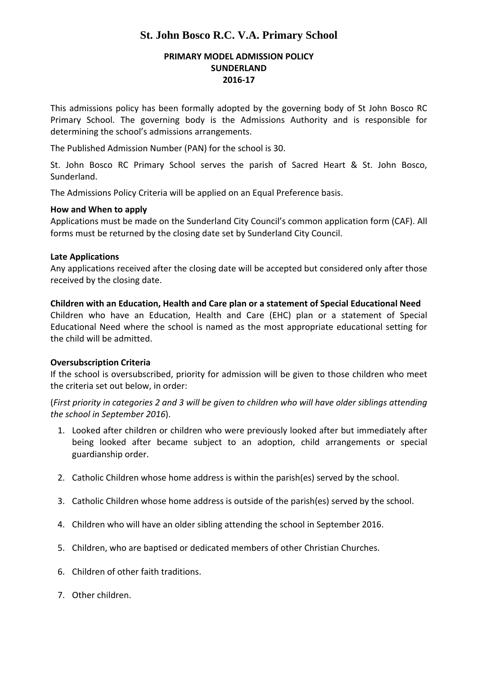## **St. John Bosco R.C. V.A. Primary School**

## **PRIMARY MODEL ADMISSION POLICY SUNDERLAND 2016‐17**

This admissions policy has been formally adopted by the governing body of St John Bosco RC Primary School. The governing body is the Admissions Authority and is responsible for determining the school's admissions arrangements.

The Published Admission Number (PAN) for the school is 30.

St. John Bosco RC Primary School serves the parish of Sacred Heart & St. John Bosco, Sunderland.

The Admissions Policy Criteria will be applied on an Equal Preference basis.

#### **How and When to apply**

Applications must be made on the Sunderland City Council's common application form (CAF). All forms must be returned by the closing date set by Sunderland City Council.

#### **Late Applications**

Any applications received after the closing date will be accepted but considered only after those received by the closing date.

**Children with an Education, Health and Care plan or a statement of Special Educational Need**

Children who have an Education, Health and Care (EHC) plan or a statement of Special Educational Need where the school is named as the most appropriate educational setting for the child will be admitted.

## **Oversubscription Criteria**

If the school is oversubscribed, priority for admission will be given to those children who meet the criteria set out below, in order:

(First priority in categories 2 and 3 will be given to children who will have older siblings attending *the school in September 2016*).

- 1. Looked after children or children who were previously looked after but immediately after being looked after became subject to an adoption, child arrangements or special guardianship order.
- 2. Catholic Children whose home address is within the parish(es) served by the school.
- 3. Catholic Children whose home address is outside of the parish(es) served by the school.
- 4. Children who will have an older sibling attending the school in September 2016.
- 5. Children, who are baptised or dedicated members of other Christian Churches.
- 6. Children of other faith traditions.
- 7. Other children.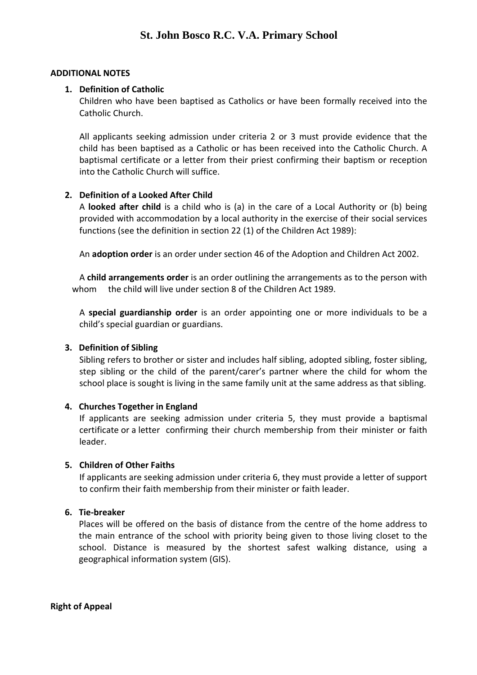#### **ADDITIONAL NOTES**

#### **1. Definition of Catholic**

Children who have been baptised as Catholics or have been formally received into the Catholic Church.

All applicants seeking admission under criteria 2 or 3 must provide evidence that the child has been baptised as a Catholic or has been received into the Catholic Church. A baptismal certificate or a letter from their priest confirming their baptism or reception into the Catholic Church will suffice.

## **2. Definition of a Looked After Child**

A **looked after child** is a child who is (a) in the care of a Local Authority or (b) being provided with accommodation by a local authority in the exercise of their social services functions (see the definition in section 22 (1) of the Children Act 1989):

An **adoption order** is an order under section 46 of the Adoption and Children Act 2002.

A **child arrangements order** is an order outlining the arrangements as to the person with whom the child will live under section 8 of the Children Act 1989.

A **special guardianship order** is an order appointing one or more individuals to be a child's special guardian or guardians.

#### **3. Definition of Sibling**

Sibling refers to brother or sister and includes half sibling, adopted sibling, foster sibling, step sibling or the child of the parent/carer's partner where the child for whom the school place is sought is living in the same family unit at the same address as that sibling.

#### **4. Churches Together in England**

If applicants are seeking admission under criteria 5, they must provide a baptismal certificate or a letter confirming their church membership from their minister or faith leader.

#### **5. Children of Other Faiths**

If applicants are seeking admission under criteria 6, they must provide a letter of support to confirm their faith membership from their minister or faith leader.

#### **6. Tie‐breaker**

Places will be offered on the basis of distance from the centre of the home address to the main entrance of the school with priority being given to those living closet to the school. Distance is measured by the shortest safest walking distance, using a geographical information system (GIS).